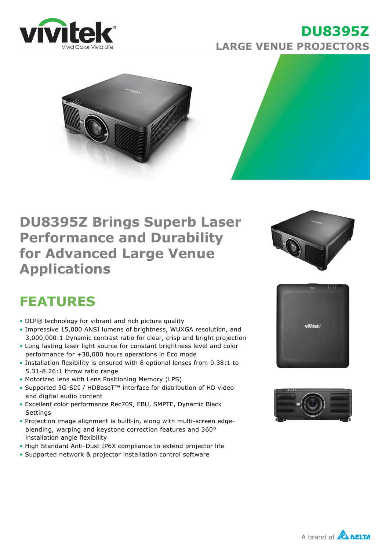

### **DU8395Z LARGE VENUE PROJECTORS**





## **DU8395Z Brings Superb Laser Performance and Durability for Advanced Large Venue Applications**



# **FEATURES**

- DLP® technology for vibrant and rich picture quality
- Impressive 15,000 ANSI lumens of brightness, WUXGA resolution, and 3,000,000:1 Dynamic contrast ratio for clear, crisp and bright projection
- Long lasting laser light source for constant brightness level and color performance for +30,000 hours operations in Eco mode
- Installation flexibility is ensured with 8 optional lenses from 0.38:1 to  $5.31 - 8.26:1$  throw ratio range
- Motorized lens with Lens Positioning Memory (LPS)
- Supported 3G-SDI / HDBaseT<sup>™</sup> interface for distribution of HD video and digital audio content
- Excellent color performance Rec709, EBU, SMPTE, Dynamic Black **Settings**
- Projection image alignment is built-in, along with multi-screen edgeblending, warping and keystone correction features and 360° installation angle flexibility
- High Standard Anti-Dust IP6X compliance to extend projector life
- Supported network & projector installation control software